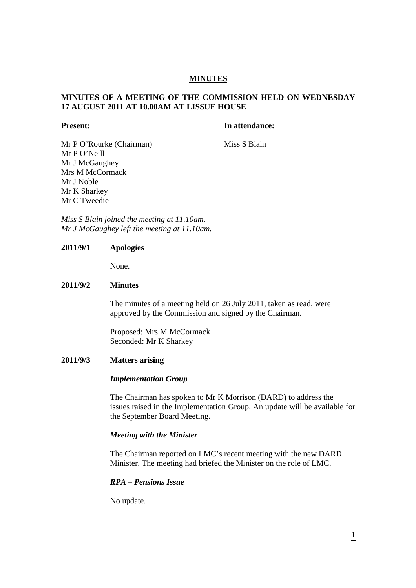# **MINUTES**

# **MINUTES OF A MEETING OF THE COMMISSION HELD ON WEDNESDAY 17 AUGUST 2011 AT 10.00AM AT LISSUE HOUSE**

#### **Present:** In attendance:

Mr P O'Rourke (Chairman) Miss S Blain Mr P O'Neill Mr J McGaughey Mrs M McCormack Mr J Noble Mr K Sharkey Mr C Tweedie

*Miss S Blain joined the meeting at 11.10am. Mr J McGaughey left the meeting at 11.10am.* 

# **2011/9/1 Apologies**

None.

### **2011/9/2 Minutes**

The minutes of a meeting held on 26 July 2011, taken as read, were approved by the Commission and signed by the Chairman.

Proposed: Mrs M McCormack Seconded: Mr K Sharkey

# **2011/9/3 Matters arising**

#### *Implementation Group*

The Chairman has spoken to Mr K Morrison (DARD) to address the issues raised in the Implementation Group. An update will be available for the September Board Meeting.

#### *Meeting with the Minister*

The Chairman reported on LMC's recent meeting with the new DARD Minister. The meeting had briefed the Minister on the role of LMC.

# *RPA – Pensions Issue*

No update.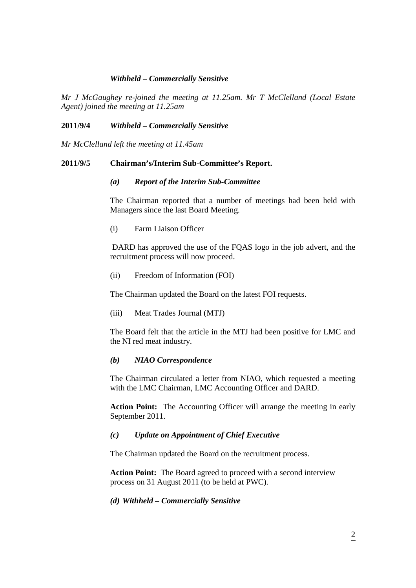# *Withheld – Commercially Sensitive*

*Mr J McGaughey re-joined the meeting at 11.25am. Mr T McClelland (Local Estate Agent) joined the meeting at 11.25am* 

### **2011/9/4** *Withheld – Commercially Sensitive*

*Mr McClelland left the meeting at 11.45am* 

### **2011/9/5 Chairman's/Interim Sub-Committee's Report.**

#### *(a) Report of the Interim Sub-Committee*

The Chairman reported that a number of meetings had been held with Managers since the last Board Meeting.

(i) Farm Liaison Officer

 DARD has approved the use of the FQAS logo in the job advert, and the recruitment process will now proceed.

(ii) Freedom of Information (FOI)

The Chairman updated the Board on the latest FOI requests.

(iii) Meat Trades Journal (MTJ)

The Board felt that the article in the MTJ had been positive for LMC and the NI red meat industry.

### *(b) NIAO Correspondence*

The Chairman circulated a letter from NIAO, which requested a meeting with the LMC Chairman, LMC Accounting Officer and DARD.

**Action Point:** The Accounting Officer will arrange the meeting in early September 2011.

# *(c) Update on Appointment of Chief Executive*

The Chairman updated the Board on the recruitment process.

 **Action Point:** The Board agreed to proceed with a second interview process on 31 August 2011 (to be held at PWC).

# *(d) Withheld – Commercially Sensitive*